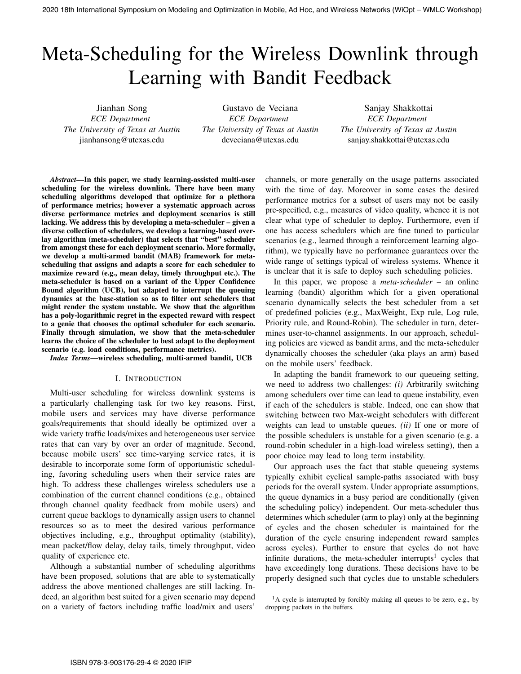# Meta-Scheduling for the Wireless Downlink through Learning with Bandit Feedback

Jianhan Song *ECE Department The University of Texas at Austin* jianhansong@utexas.edu

Gustavo de Veciana *ECE Department The University of Texas at Austin* deveciana@utexas.edu

Sanjay Shakkottai *ECE Department The University of Texas at Austin* sanjay.shakkottai@utexas.edu

*Abstract*—In this paper, we study learning-assisted multi-user scheduling for the wireless downlink. There have been many scheduling algorithms developed that optimize for a plethora of performance metrics; however a systematic approach across diverse performance metrics and deployment scenarios is still lacking. We address this by developing a meta-scheduler – given a diverse collection of schedulers, we develop a learning-based overlay algorithm (meta-scheduler) that selects that "best" scheduler from amongst these for each deployment scenario. More formally, we develop a multi-armed bandit (MAB) framework for metascheduling that assigns and adapts a score for each scheduler to maximize reward (e.g., mean delay, timely throughput etc.). The meta-scheduler is based on a variant of the Upper Confidence Bound algorithm (UCB), but adapted to interrupt the queuing dynamics at the base-station so as to filter out schedulers that might render the system unstable. We show that the algorithm has a poly-logarithmic regret in the expected reward with respect to a genie that chooses the optimal scheduler for each scenario. Finally through simulation, we show that the meta-scheduler learns the choice of the scheduler to best adapt to the deployment scenario (e.g. load conditions, performance metrics). 2020 18th International Symposium on Modeling and Optimization in Model 2020 18th International Symposium on Model 2020 18th International Symposium of Symposium of Symposium of Symposium of Symposium of Symposium of Symp

*Index Terms*—wireless scheduling, multi-armed bandit, UCB

#### I. INTRODUCTION

Multi-user scheduling for wireless downlink systems is a particularly challenging task for two key reasons. First, mobile users and services may have diverse performance goals/requirements that should ideally be optimized over a wide variety traffic loads/mixes and heterogeneous user service rates that can vary by over an order of magnitude. Second, because mobile users' see time-varying service rates, it is desirable to incorporate some form of opportunistic scheduling, favoring scheduling users when their service rates are high. To address these challenges wireless schedulers use a combination of the current channel conditions (e.g., obtained through channel quality feedback from mobile users) and current queue backlogs to dynamically assign users to channel resources so as to meet the desired various performance objectives including, e.g., throughput optimality (stability), mean packet/flow delay, delay tails, timely throughput, video quality of experience etc.

Although a substantial number of scheduling algorithms have been proposed, solutions that are able to systematically address the above mentioned challenges are still lacking. Indeed, an algorithm best suited for a given scenario may depend on a variety of factors including traffic load/mix and users'

channels, or more generally on the usage patterns associated with the time of day. Moreover in some cases the desired performance metrics for a subset of users may not be easily pre-specified, e.g., measures of video quality, whence it is not clear what type of scheduler to deploy. Furthermore, even if one has access schedulers which are fine tuned to particular scenarios (e.g., learned through a reinforcement learning algorithm), we typically have no performance guarantees over the wide range of settings typical of wireless systems. Whence it is unclear that it is safe to deploy such scheduling policies.

In this paper, we propose a *meta-scheduler* – an online learning (bandit) algorithm which for a given operational scenario dynamically selects the best scheduler from a set of predefined policies (e.g., MaxWeight, Exp rule, Log rule, Priority rule, and Round-Robin). The scheduler in turn, determines user-to-channel assignments. In our approach, scheduling policies are viewed as bandit arms, and the meta-scheduler dynamically chooses the scheduler (aka plays an arm) based on the mobile users' feedback.

In adapting the bandit framework to our queueing setting, we need to address two challenges: *(i)* Arbitrarily switching among schedulers over time can lead to queue instability, even if each of the schedulers is stable. Indeed, one can show that switching between two Max-weight schedulers with different weights can lead to unstable queues. *(ii)* If one or more of the possible schedulers is unstable for a given scenario (e.g. a round-robin scheduler in a high-load wireless setting), then a poor choice may lead to long term instability.

Our approach uses the fact that stable queueing systems typically exhibit cyclical sample-paths associated with busy periods for the overall system. Under appropriate assumptions, the queue dynamics in a busy period are conditionally (given the scheduling policy) independent. Our meta-scheduler thus determines which scheduler (arm to play) only at the beginning of cycles and the chosen scheduler is maintained for the duration of the cycle ensuring independent reward samples across cycles). Further to ensure that cycles do not have infinite durations, the meta-scheduler interrupts<sup>1</sup> cycles that have exceedingly long durations. These decisions have to be properly designed such that cycles due to unstable schedulers

 $1A$  cycle is interrupted by forcibly making all queues to be zero, e.g., by dropping packets in the buffers.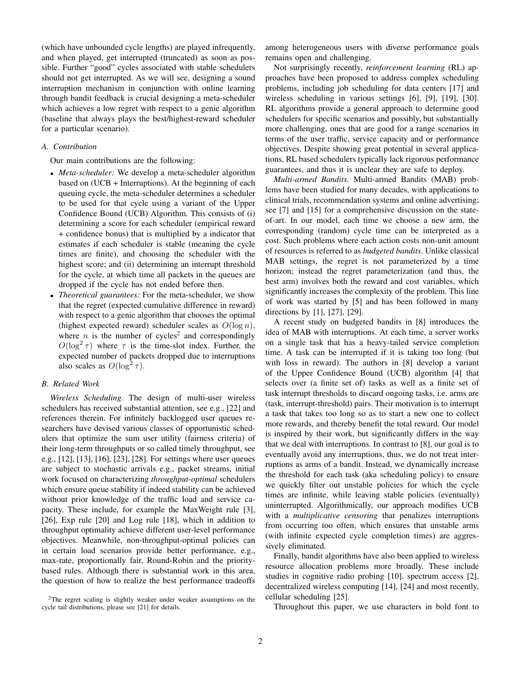(which have unbounded cycle lengths) are played infrequently, and when played, get interrupted (truncated) as soon as possible. Further "good" cycles associated with stable schedulers should not get interrupted. As we will see, designing a sound interruption mechanism in conjunction with online learning through bandit feedback is crucial designing a meta-scheduler which achieves a low regret with respect to a genie algorithm (baseline that always plays the best/highest-reward scheduler for a particular scenario).

#### *A. Contribution*

Our main contributions are the following:

- *Meta-scheduler:* We develop a meta-scheduler algorithm based on (UCB + Interruptions). At the beginning of each queuing cycle, the meta-scheduler determines a scheduler to be used for that cycle using a variant of the Upper Confidence Bound (UCB) Algorithm. This consists of (i) determining a score for each scheduler (empirical reward + confidence bonus) that is multiplied by a indicator that estimates if each scheduler is stable (meaning the cycle times are finite), and choosing the scheduler with the highest score; and (ii) determining an interrupt threshold for the cycle, at which time all packets in the queues are dropped if the cycle has not ended before then.
- *Theoretical guarantees:* For the meta-scheduler, we show that the regret (expected cumulative difference in reward) with respect to a genie algorithm that chooses the optimal (highest expected reward) scheduler scales as  $O(\log n)$ , where *n* is the number of cycles<sup>2</sup> and correspondingly  $O(\log^2 \tau)$  where  $\tau$  is the time-slot index. Further, the expected number of packets dropped due to interruptions also scales as  $O(\log^2 \tau)$ .

#### *B. Related Work*

*Wireless Scheduling.* The design of multi-user wireless schedulers has received substantial attention, see e.g., [22] and references therein. For infinitely backlogged user queues researchers have devised various classes of opportunistic schedulers that optimize the sum user utility (fairness criteria) of their long-term throughputs or so called timely throughput, see e.g., [12], [13], [16], [23], [28]. For settings where user queues are subject to stochastic arrivals e.g., packet streams, initial work focused on characterizing *throughput-optimal* schedulers which ensure queue stability if indeed stability can be achieved without prior knowledge of the traffic load and service capacity. These include, for example the MaxWeight rule [3], [26], Exp rule [20] and Log rule [18], which in addition to throughput optimality achieve different user-level performance objectives. Meanwhile, non-throughput-optimal policies can in certain load scenarios provide better performance, e.g., max-rate, proportionally fair, Round-Robin and the prioritybased rules. Although there is substantial work in this area, the question of how to realize the best performance tradeoffs

among heterogeneous users with diverse performance goals remains open and challenging.

Not surprisingly recently, *reinforcement learning* (RL) approaches have been proposed to address complex scheduling problems, including job scheduling for data centers [17] and wireless scheduling in various settings [6], [9], [19], [30]. RL algorithms provide a general approach to determine good schedulers for specific scenarios and possibly, but substantially more challenging, ones that are good for a range scenarios in terms of the user traffic, service capacity and or performance objectives. Despite showing great potential in several applications, RL based schedulers typically lack rigorous performance guarantees, and thus it is unclear they are safe to deploy.

*Multi-armed Bandits.* Multi-armed Bandits (MAB) problems have been studied for many decades, with applications to clinical trials, recommendation systems and online advertising; see [7] and [15] for a comprehensive discussion on the stateof-art. In our model, each time we choose a new arm, the corresponding (random) cycle time can be interpreted as a cost. Such problems where each action costs non-unit amount of resources is referred to as *budgeted bandits*. Unlike classical MAB settings, the regret is not parameterized by a time horizon; instead the regret parameterization (and thus, the best arm) involves both the reward and cost variables, which significantly increases the complexity of the problem. This line of work was started by [5] and has been followed in many directions by [1], [27], [29].

A recent study on budgeted bandits in [8] introduces the idea of MAB with interruptions. At each time, a server works on a single task that has a heavy-tailed service completion time. A task can be interrupted if it is taking too long (but with loss in reward). The authors in [8] develop a variant of the Upper Confidence Bound (UCB) algorithm [4] that selects over (a finite set of) tasks as well as a finite set of task interrupt thresholds to discard ongoing tasks, i.e. arms are (task, interrupt-threshold) pairs. Their motivation is to interrupt a task that takes too long so as to start a new one to collect more rewards, and thereby benefit the total reward. Our model is inspired by their work, but significantly differs in the way that we deal with interruptions. In contrast to [8], our goal is to eventually avoid any interruptions, thus, we do not treat interruptions as arms of a bandit. Instead, we dynamically increase the threshold for each task (aka scheduling policy) to ensure we quickly filter out unstable policies for which the cycle times are infinite, while leaving stable policies (eventually) uninterrupted. Algorithmically, our approach modifies UCB with a *multiplicative censoring* that penalizes interruptions from occurring too often, which ensures that unstable arms (with infinite expected cycle completion times) are aggressively eliminated.

Finally, bandit algorithms have also been applied to wireless resource allocation problems more broadly. These include studies in cognitive radio probing [10], spectrum access [2], decentralized wireless computing [14], [24] and most recently, cellular scheduling [25].

Throughout this paper, we use characters in bold font to

<sup>&</sup>lt;sup>2</sup>The regret scaling is slightly weaker under weaker assumptions on the cycle tail distributions, please see [21] for details.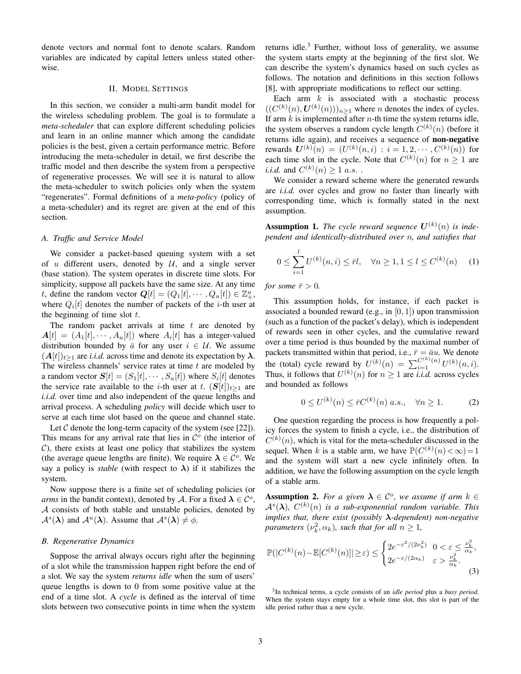denote vectors and normal font to denote scalars. Random variables are indicated by capital letters unless stated otherwise.

#### II. MODEL SETTINGS

In this section, we consider a multi-arm bandit model for the wireless scheduling problem. The goal is to formulate a *meta-scheduler* that can explore different scheduling policies and learn in an online manner which among the candidate policies is the best, given a certain performance metric. Before introducing the meta-scheduler in detail, we first describe the traffic model and then describe the system from a perspective of regenerative processes. We will see it is natural to allow the meta-scheduler to switch policies only when the system "regenerates". Formal definitions of a *meta-policy* (policy of a meta-scheduler) and its regret are given at the end of this section.

#### *A. Traffic and Service Model*

We consider a packet-based queuing system with a set of u different users, denoted by  $U$ , and a single server (base station). The system operates in discrete time slots. For simplicity, suppose all packets have the same size. At any time t, define the random vector  $Q[t] = (Q_1[t], \cdots, Q_u[t]) \in \mathbb{Z}_+^u$ , where  $Q_i[t]$  denotes the number of packets of the *i*-th user at the beginning of time slot  $t$ .

The random packet arrivals at time  $t$  are denoted by  $A[t] = (A_1[t], \cdots, A_u[t])$  where  $A_i[t]$  has a integer-valued distribution bounded by  $\bar{a}$  for any user  $i \in \mathcal{U}$ . We assume  $(A[t])_{t\geq 1}$  are *i.i.d.* across time and denote its expectation by  $\lambda$ . The wireless channels' service rates at time  $t$  are modeled by a random vector  $\mathbf{S}[t]=(S_1[t],\cdots,S_u[t])$  where  $S_i[t]$  denotes the service rate available to the *i*-th user at t.  $(S[t])_{t>1}$  are *i.i.d.* over time and also independent of the queue lengths and arrival process. A scheduling *policy* will decide which user to serve at each time slot based on the queue and channel state.

Let  $C$  denote the long-term capacity of the system (see [22]). This means for any arrival rate that lies in  $\mathcal{C}^{\circ}$  (the interior of  $C$ ), there exists at least one policy that stabilizes the system (the average queue lengths are finite). We require  $\lambda \in C^{\circ}$ . We say a policy is *stable* (with respect to  $\lambda$ ) if it stabilizes the system.

Now suppose there is a finite set of scheduling policies (or *arms* in the bandit context), denoted by A. For a fixed  $\lambda \in C^{\circ}$ , A consists of both stable and unstable policies, denoted by  $\mathcal{A}^{s}(\lambda)$  and  $\mathcal{A}^{u}(\lambda)$ . Assume that  $\mathcal{A}^{s}(\lambda) \neq \emptyset$ .

#### *B. Regenerative Dynamics*

Suppose the arrival always occurs right after the beginning of a slot while the transmission happen right before the end of a slot. We say the system *returns idle* when the sum of users' queue lengths is down to 0 from some positive value at the end of a time slot. A *cycle* is defined as the interval of time slots between two consecutive points in time when the system returns idle. $3$  Further, without loss of generality, we assume the system starts empty at the beginning of the first slot. We can describe the system's dynamics based on such cycles as follows. The notation and definitions in this section follows [8], with appropriate modifications to reflect our setting.

Each arm  $k$  is associated with a stochastic process  $((C^{(k)}(n), \mathbf{U}^{(k)}(n)))_{n\geq 1}$  where *n* denotes the index of cycles. If arm  $k$  is implemented after *n*-th time the system returns idle, the system observes a random cycle length  $C^{(k)}(n)$  (before it returns idle again), and receives a sequence of non-negative rewards  $\bm{U}^{(k)}(n) = (U^{(k)}(n,i) : i = 1, 2, \cdots, C^{(k)}(n))$  for each time slot in the cycle. Note that  $C^{(k)}(n)$  for  $n \geq 1$  are *i.i.d.* and  $C^{(k)}(n) \ge 1$  *a.s.*.

We consider a reward scheme where the generated rewards are *i.i.d.* over cycles and grow no faster than linearly with corresponding time, which is formally stated in the next assumption.

**Assumption 1.** The cycle reward sequence  $U^{(k)}(n)$  is inde*pendent and identically-distributed over* n*, and satisfies that*

$$
0 \le \sum_{i=1}^{l} U^{(k)}(n, i) \le \bar{r}l, \quad \forall n \ge 1, 1 \le l \le C^{(k)}(n) \quad (1)
$$

*for some*  $\bar{r} > 0$ *.* 

This assumption holds, for instance, if each packet is associated a bounded reward (e.g., in  $[0, 1]$ ) upon transmission (such as a function of the packet's delay), which is independent of rewards seen in other cycles, and the cumulative reward over a time period is thus bounded by the maximal number of packets transmitted within that period, i.e.,  $\bar{r} = \bar{a}u$ . We denote the (total) cycle reward by  $U^{(k)}(n) = \sum_{i=1}^{C^{(k)}(n)} U^{(k)}(n,i)$ . Thus, it follows that  $U^{(k)}(n)$  for  $n \ge 1$  are *i.i.d.* across cycles and bounded as follows

$$
0 \le U^{(k)}(n) \le \bar{r}C^{(k)}(n) \ a.s., \quad \forall n \ge 1. \tag{2}
$$

One question regarding the process is how frequently a policy forces the system to finish a cycle, i.e., the distribution of  $C^{(k)}(n)$ , which is vital for the meta-scheduler discussed in the sequel. When k is a stable arm, we have  $\mathbb{P}(C^{(k)}(n) < \infty) = 1$ and the system will start a new cycle infinitely often. In addition, we have the following assumption on the cycle length of a stable arm.

**Assumption 2.** For a given  $\lambda \in \mathcal{C}^{\circ}$ , we assume if arm  $k \in$  $\mathcal{A}^{s}(\boldsymbol{\lambda}), C^{(k)}(n)$  is a sub-exponential random variable. This *implies that, there exist (possibly* λ*-dependent) non-negative parameters*  $(\nu_k^2, \alpha_k)$ *, such that for all*  $n \geq 1$ *,* 

$$
\mathbb{P}(|C^{(k)}(n) - \mathbb{E}[C^{(k)}(n)]| \ge \varepsilon) \le \begin{cases} 2e^{-\varepsilon^2/(2\nu_k^2)} & 0 < \varepsilon \le \frac{\nu_k^2}{\alpha_k}, \\ 2e^{-\varepsilon/(2\alpha_k)} & \varepsilon > \frac{\nu_k^2}{\alpha_k}. \end{cases} \tag{3}
$$

<sup>3</sup> In technical terms, a cycle consists of an *idle period* plus a *busy period*. When the system stays empty for a whole time slot, this slot is part of the idle period rather than a new cycle.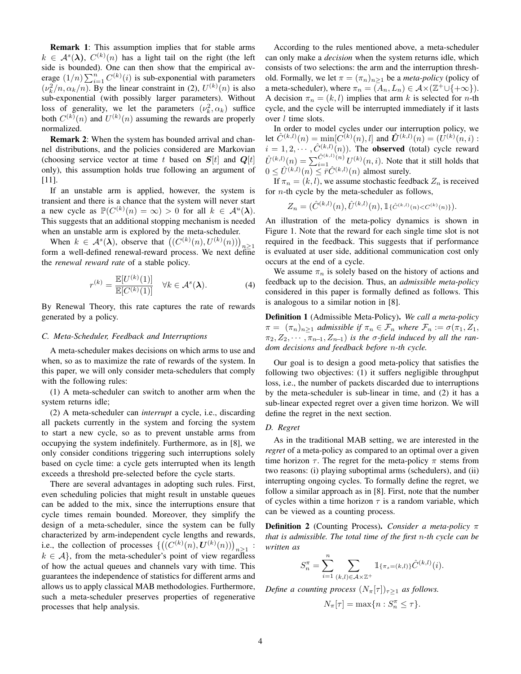Remark 1: This assumption implies that for stable arms  $k \in \mathcal{A}^{s}(\lambda), C^{(k)}(n)$  has a light tail on the right (the left side is bounded). One can then show that the empirical average  $(1/n) \sum_{i=1}^{n} C^{(k)}(i)$  is sub-exponential with parameters  $(\nu_k^2/n, \alpha_k/n)$ . By the linear constraint in (2),  $U^{(k)}(n)$  is also sub-exponential (with possibly larger parameters). Without loss of generality, we let the parameters  $(\nu_k^2, \alpha_k)$  suffice both  $C^{(k)}(n)$  and  $U^{(k)}(n)$  assuming the rewards are properly normalized.

**Remark 2:** When the system has bounded arrival and channel distributions, and the policies considered are Markovian (choosing service vector at time t based on  $S[t]$  and  $Q[t]$ only), this assumption holds true following an argument of [11].

If an unstable arm is applied, however, the system is transient and there is a chance that the system will never start a new cycle as  $\mathbb{P}(C^{(k)}(n) = \infty) > 0$  for all  $k \in \mathcal{A}^u(\lambda)$ . This suggests that an additional stopping mechanism is needed when an unstable arm is explored by the meta-scheduler.

When  $k \in \mathcal{A}^{s}(\lambda)$ , observe that  $((C^{(k)}(n), U^{(k)}(n)))_{n \geq 1}$ form a well-defined renewal-reward process. We next define the *renewal reward rate* of a stable policy.

$$
r^{(k)} = \frac{\mathbb{E}[U^{(k)}(1)]}{\mathbb{E}[C^{(k)}(1)]} \quad \forall k \in \mathcal{A}^s(\boldsymbol{\lambda}).
$$
 (4)

By Renewal Theory, this rate captures the rate of rewards generated by a policy.

#### *C. Meta-Scheduler, Feedback and Interruptions*

A meta-scheduler makes decisions on which arms to use and when, so as to maximize the rate of rewards of the system. In this paper, we will only consider meta-schedulers that comply with the following rules:

(1) A meta-scheduler can switch to another arm when the system returns idle;

(2) A meta-scheduler can *interrupt* a cycle, i.e., discarding all packets currently in the system and forcing the system to start a new cycle, so as to prevent unstable arms from occupying the system indefinitely. Furthermore, as in [8], we only consider conditions triggering such interruptions solely based on cycle time: a cycle gets interrupted when its length exceeds a threshold pre-selected before the cycle starts.

There are several advantages in adopting such rules. First, even scheduling policies that might result in unstable queues can be added to the mix, since the interruptions ensure that cycle times remain bounded. Moreover, they simplify the design of a meta-scheduler, since the system can be fully characterized by arm-independent cycle lengths and rewards, i.e., the collection of processes  $\left\{ \left( (C^{(k)}(n), \boldsymbol{U}^{(k)}(n)) \right)_{n \geq 1} : \right\}$  $k \in \mathcal{A}$ , from the meta-scheduler's point of view regardless of how the actual queues and channels vary with time. This guarantees the independence of statistics for different arms and allows us to apply classical MAB methodologies. Furthermore, such a meta-scheduler preserves properties of regenerative processes that help analysis.

According to the rules mentioned above, a meta-scheduler can only make a *decision* when the system returns idle, which consists of two selections: the arm and the interruption threshold. Formally, we let  $\pi = (\pi_n)_{n>1}$  be a *meta-policy* (policy of a meta-scheduler), where  $\pi_n = (A_n, L_n) \in \mathcal{A} \times (\mathbb{Z}^+ \cup \{+\infty\}).$ A decision  $\pi_n = (k, l)$  implies that arm k is selected for n-th cycle, and the cycle will be interrupted immediately if it lasts over *l* time slots.

In order to model cycles under our interruption policy, we let  $\hat{C}^{(k,l)}(n) = \min[C^{(k)}(n),l]$  and  $\hat{U}^{(k,l)}(n) = (\hat{U}^{(k)}(n,i))$ :  $i = 1, 2, \cdots, \hat{C}^{(k,l)}(n)$ . The **observed** (total) cycle reward  $\hat{U}^{(k,l)}(n) = \sum_{i=1}^{\hat{C}^{(k,l)}(n)} U^{(k)}(n,i)$ . Note that it still holds that  $0 \leq \hat{U}^{(k,l)}(n) \leq \overline{r}\hat{C}^{(k,l)}(n)$  almost surely.

If  $\pi_n = (k, l)$ , we assume stochastic feedback  $Z_n$  is received for n-th cycle by the meta-scheduler as follows,

$$
Z_n = (\hat{C}^{(k,l)}(n), \hat{U}^{(k,l)}(n), \mathbb{1}\{\hat{C}^{(k,l)}(n) < C^{(k)}(n)\}.
$$

An illustration of the meta-policy dynamics is shown in Figure 1. Note that the reward for each single time slot is not required in the feedback. This suggests that if performance is evaluated at user side, additional communication cost only occurs at the end of a cycle.

We assume  $\pi_n$  is solely based on the history of actions and feedback up to the decision. Thus, an *admissible meta-policy* considered in this paper is formally defined as follows. This is analogous to a similar notion in [8].

Definition 1 (Admissible Meta-Policy). *We call a meta-policy*  $\pi = (\pi_n)_{n \geq 1}$  *admissible if*  $\pi_n \in \mathcal{F}_n$  *where*  $\mathcal{F}_n := \sigma(\pi_1, Z_1, Z_2)$  $\pi_2, Z_2, \cdots, \pi_{n-1}, Z_{n-1}$  *is the*  $\sigma$ *-field induced by all the random decisions and feedback before* n*-th cycle.*

Our goal is to design a good meta-policy that satisfies the following two objectives: (1) it suffers negligible throughput loss, i.e., the number of packets discarded due to interruptions by the meta-scheduler is sub-linear in time, and (2) it has a sub-linear expected regret over a given time horizon. We will define the regret in the next section.

#### *D. Regret*

As in the traditional MAB setting, we are interested in the *regret* of a meta-policy as compared to an optimal over a given time horizon  $\tau$ . The regret for the meta-policy  $\pi$  stems from two reasons: (i) playing suboptimal arms (schedulers), and (ii) interrupting ongoing cycles. To formally define the regret, we follow a similar approach as in [8]. First, note that the number of cycles within a time horizon  $\tau$  is a random variable, which can be viewed as a counting process.

Definition 2 (Counting Process). *Consider a meta-policy* π *that is admissible. The total time of the first* n*-th cycle can be written as*

$$
S_n^{\pi} = \sum_{i=1}^n \sum_{(k,l) \in A \times \mathbb{Z}^+} \mathbb{1}_{\{\pi_s = (k,l)\}} \hat{C}^{(k,l)}(i).
$$

*Define a counting process*  $(N_{\pi}[\tau])_{\tau>1}$  *as follows.* 

 $N_{\pi}[\tau] = \max\{n : S_n^{\pi} \leq \tau\}.$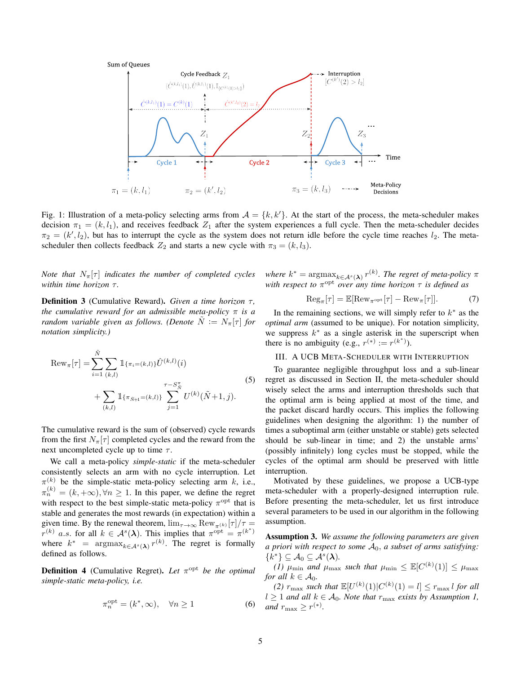

Fig. 1: Illustration of a meta-policy selecting arms from  $A = \{k, k'\}$ . At the start of the process, the meta-scheduler makes decision  $\pi_1 = (k, l_1)$ , and receives feedback  $Z_1$  after the system experiences a full cycle. Then the meta-scheduler decides  $\pi_2 = (k', l_2)$ , but has to interrupt the cycle as the system does not return idle before the cycle time reaches  $l_2$ . The metascheduler then collects feedback  $Z_2$  and starts a new cycle with  $\pi_3 = (k, l_3)$ .

*Note that*  $N_{\pi}[\tau]$  *indicates the number of completed cycles within time horizon τ.* 

**Definition 3** (Cumulative Reward). *Given a time horizon* τ, *the cumulative reward for an admissible meta-policy* π *is a random variable given as follows. (Denote*  $\tilde{N} := N_{\pi}[\tau]$  *for notation simplicity.)*

$$
\operatorname{Rew}_{\pi}[\tau] = \sum_{i=1}^{\tilde{N}} \sum_{(k,l)} \mathbb{1}_{\{\pi_i = (k,l)\}} \hat{U}^{(k,l)}(i) + \sum_{(k,l)} \mathbb{1}_{\{\pi_{\tilde{N}+1} = (k,l)\}} \sum_{j=1}^{\tau - S_{\tilde{N}}^{\pi}} U^{(k)}(\tilde{N}+1, j).
$$
\n(5)

The cumulative reward is the sum of (observed) cycle rewards from the first  $N_{\pi}[\tau]$  completed cycles and the reward from the next uncompleted cycle up to time  $\tau$ .

We call a meta-policy *simple-static* if the meta-scheduler consistently selects an arm with no cycle interruption. Let  $\pi^{(k)}$  be the simple-static meta-policy selecting arm k, i.e.,  $\pi_n^{(k)} = (k, +\infty), \forall n \ge 1$ . In this paper, we define the regret with respect to the best simple-static meta-policy  $\pi^{\text{opt}}$  that is stable and generates the most rewards (in expectation) within a given time. By the renewal theorem,  $\lim_{\tau \to \infty} \text{Row}_{\pi^{(k)}}[\tau]/\tau =$  $r^{(k)}$  a.s. for all  $k \in \mathcal{A}^{s}(\lambda)$ . This implies that  $\pi^{\text{opt}} = \pi^{(k^*)}$ where  $k^*$  =  $\operatorname{argmax}_{k \in A^s(\boldsymbol{\lambda})} r^{(k)}$ . The regret is formally defined as follows.

**Definition 4** (Cumulative Regret). Let  $\pi^{\text{opt}}$  be the optimal *simple-static meta-policy, i.e.*

$$
\pi_n^{\text{opt}} = (k^*, \infty), \quad \forall n \ge 1 \tag{6}
$$

where  $k^* = \text{argmax}_{k \in A^s(\boldsymbol{\lambda})} r^{(k)}$ . The regret of meta-policy  $\pi$ *with respect to*  $\pi$ <sup>opt</sup> *over any time horizon*  $\tau$  *is defined as* 

$$
\operatorname{Reg}_{\pi}[\tau] = \mathbb{E}[\operatorname{Rew}_{\pi^{\rm opt}}[\tau] - \operatorname{Rew}_{\pi}[\tau]]. \tag{7}
$$

In the remaining sections, we will simply refer to  $k^*$  as the *optimal arm* (assumed to be unique). For notation simplicity, we suppress  $k^*$  as a single asterisk in the superscript when there is no ambiguity (e.g.,  $r^{(*)} := r^{(k^*)}$ ).

## III. A UCB META-SCHEDULER WITH INTERRUPTION

To guarantee negligible throughput loss and a sub-linear regret as discussed in Section II, the meta-scheduler should wisely select the arms and interruption thresholds such that the optimal arm is being applied at most of the time, and the packet discard hardly occurs. This implies the following guidelines when designing the algorithm: 1) the number of times a suboptimal arm (either unstable or stable) gets selected should be sub-linear in time; and 2) the unstable arms' (possibly infinitely) long cycles must be stopped, while the cycles of the optimal arm should be preserved with little interruption.

Motivated by these guidelines, we propose a UCB-type meta-scheduler with a properly-designed interruption rule. Before presenting the meta-scheduler, let us first introduce several parameters to be used in our algorithm in the following assumption.

Assumption 3. *We assume the following parameters are given a priori with respect to some* A0, *a subset of arms satisfying:*  $\{k^*\}\subseteq \mathcal{A}_0\subseteq \mathcal{A}^s(\boldsymbol{\lambda}).$ 

*(1)*  $\mu_{\min}$  *and*  $\mu_{\max}$  *such that*  $\mu_{\min} \leq \mathbb{E}[C^{(k)}(1)] \leq \mu_{\max}$ *for all*  $k \in A_0$ *.* 

(2)  $r_{\text{max}}$  *such that*  $\mathbb{E}[U^{(k)}(1)|C^{(k)}(1) = l] \leq r_{\text{max}} l$  *for all*  $l$  ≥ 1 *and all*  $k$  ∈  $A_0$ *. Note that*  $r_{\text{max}}$  *exists by Assumption 1*, *and*  $r_{\text{max}} \geq r^{(*)}$ *.*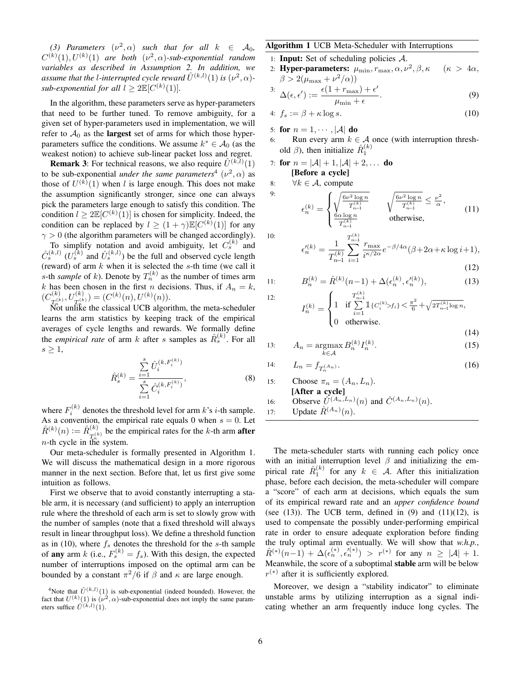(3) Parameters  $(\nu^2, \alpha)$  such that for all  $k \in A_0$ ,  $C^{(k)}(1), U^{(k)}(1)$  are both  $(\nu^2, \alpha)$ -sub-exponential random *variables as described in Assumption 2. In addition, we* assume that the l-interrupted cycle reward  $\hat{U}^{(k,l)}(1)$  is  $(\nu^2,\alpha)$ *sub-exponential for all*  $l \geq 2 \mathbb{E}[C^{(k)}(1)].$ 

In the algorithm, these parameters serve as hyper-parameters that need to be further tuned. To remove ambiguity, for a given set of hyper-parameters used in implementation, we will refer to  $A_0$  as the **largest** set of arms for which those hyperparameters suffice the conditions. We assume  $k^* \in A_0$  (as the weakest notion) to achieve sub-linear packet loss and regret.

**Remark 3:** For technical reasons, we also require  $\hat{U}^{(k,l)}(1)$ to be sub-exponential *under the same parameters*<sup>4</sup>  $(\nu^2, \alpha)$  as those of  $U^{(k)}(1)$  when l is large enough. This does not make the assumption significantly stronger, since one can always pick the parameters large enough to satisfy this condition. The condition  $l \geq 2\mathbb{E}[C^{(k)}(1)]$  is chosen for simplicity. Indeed, the condition can be replaced by  $l \geq (1 + \gamma) \mathbb{E}[C^{(k)}(1)]$  for any  $\gamma > 0$  (the algorithm parameters will be changed accordingly).

To simplify notation and avoid ambiguity, let  $C_s^{(k)}$  and  $\hat{C}_{s}^{(k,l)}$   $(U_s^{(k)}$  and  $\hat{U}_s^{(k,l)}$ ) be the full and observed cycle length (reward) of arm  $k$  when it is selected the  $s$ -th time (we call it s-th *sample* of k). Denote by  $T_n^{(k)}$  as the number of times arm k has been chosen in the first n decisions. Thus, if  $A_n = k$ ,  $(C_{\infty(k)}^{(k)}$  $T_n^{(k)}, U_{T_n^{(k)}}^{(k)}) = (C^{(k)}(n), U^{(k)}(n)).$ 

 $\overline{\text{Not}}$  unlike the classical UCB algorithm, the meta-scheduler learns the arm statistics by keeping track of the empirical averages of cycle lengths and rewards. We formally define the *empirical rate* of arm k after s samples as  $\hat{R}_s^{(k)}$ . For all  $s \geq 1$ ,

$$
\hat{R}_s^{(k)} = \frac{\sum\limits_{i=1}^s \hat{U}_i^{(k, F_i^{(k)})}}{\sum\limits_{i=1}^s \hat{C}_i^{(k, F_i^{(k)})}},
$$
\n(8)

where  $F_i^{(k)}$  denotes the threshold level for arm k's *i*-th sample. As a convention, the empirical rate equals 0 when  $s = 0$ . Let  $\hat{R}^{(k)}(n) := \hat{R}^{(k)}_{m(k)}$  $T_n^{(k)}$  be the empirical rates for the k-th arm **after** *n*-th cycle in the system.

Our meta-scheduler is formally presented in Algorithm 1. We will discuss the mathematical design in a more rigorous manner in the next section. Before that, let us first give some intuition as follows.

First we observe that to avoid constantly interrupting a stable arm, it is necessary (and sufficient) to apply an interruption rule where the threshold of each arm is set to slowly grow with the number of samples (note that a fixed threshold will always result in linear throughput loss). We define a threshold function as in (10), where  $f_s$  denotes the threshold for the s-th sample of any arm k (i.e.,  $F_s^{(k)} = f_s$ ). With this design, the expected number of interruptions imposed on the optimal arm can be bounded by a constant  $\pi^2/6$  if  $\beta$  and  $\kappa$  are large enough.

### Algorithm 1 UCB Meta-Scheduler with Interruptions

- 1: **Input:** Set of scheduling policies  $A$ .
- 2: Hyper-parameters:  $\mu_{\min}, r_{\max}, \alpha, \nu^2, \beta, \kappa$  $(\kappa > 4\alpha,$  $\beta > 2(\mu_{\text{max}} + \nu^2/\alpha))$

$$
\stackrel{3:}{\Delta}(\epsilon,\epsilon') := \frac{\epsilon(1 + r_{\text{max}}) + \epsilon'}{\mu_{\text{min}} + \epsilon}.
$$
\n(9)

$$
4: f_s := \beta + \kappa \log s. \tag{10}
$$

5: for  $n = 1, \dots, |\mathcal{A}|$  do

6: Run every arm  $k \in \mathcal{A}$  once (with interruption threshold  $\beta$ ), then initialize  $\hat{R}_1^{(k)}$ 

7: for  $n = |A| + 1, |A| + 2, ...$  do

[Before a cycle]

8:  $\forall k \in \mathcal{A}$ , compute

$$
\epsilon_n^{(k)} = \begin{cases} \sqrt{\frac{6\nu^2 \log n}{T_{n-1}^{(k)}}} & \sqrt{\frac{6\nu^2 \log n}{T_{n-1}^{(k)}}} \le \frac{\nu^2}{\alpha}, \\ \frac{6\alpha \log n}{T_{n-1}^{(k)}} & \text{otherwise,} \end{cases} \tag{11}
$$

10:

 $11:$ 

12:

9:

$$
\epsilon_n^{\prime(k)} = \frac{1}{T_{n-1}^{(k)}} \sum_{i=1}^{T_{n-1}^{(k)}} \frac{r_{\text{max}}}{i^{\kappa/2\alpha}} e^{-\beta/4\alpha} (\beta + 2\alpha + \kappa \log i + 1),\tag{12}
$$

$$
(12)
$$

$$
B_n^{(k)} = \hat{R}^{(k)}(n-1) + \Delta(\epsilon_n^{(k)}, \epsilon_n'^{(k)}),\tag{13}
$$
\n
$$
\int_{\epsilon_n^{(k)}} \int_{\mathbb{R}^n} \mathbf{1}_{\mathbf{f} \in \mathcal{L}^{(k)}(k) \leq t} \, \mathbf{1} < \frac{\pi^2}{2} + \sqrt{2\pi^{(k)} \log n}
$$

$$
I_n^{(k)} = \begin{cases} 1 & \text{if } \sum_{i=1}^{T_{n-1}} \mathbb{1}_{\{C_i^{(k)} > f_i\}} < \frac{\pi^2}{6} + \sqrt{2T_{n-1}^{(k)}\log n}, \\ 0 & \text{otherwise.} \end{cases}
$$
(14)

$$
13: \qquad A_n = \operatorname*{argmax}_{k \in \mathcal{A}} B_n^{(k)} I_n^{(k)}.
$$
\n
$$
(15)
$$

14: 
$$
L_n = f_{T_n^{(An)}}.
$$
 (16)

\n- 15: Choose 
$$
\pi_n = (A_n, L_n)
$$
.
\n- [After a cycle]
\n- 16: Observe  $\hat{U}^{(A_n, L_n)}(n)$  and  $\hat{C}^{(A_n, L_n)}(n)$ .
\n- 17: Update  $\hat{R}^{(A_n)}(n)$ .
\n

The meta-scheduler starts with running each policy once with an initial interruption level  $\beta$  and initializing the empirical rate  $\hat{R}_1^{(k)}$  for any  $k \in \mathcal{A}$ . After this initialization phase, before each decision, the meta-scheduler will compare a "score" of each arm at decisions, which equals the sum of its empirical reward rate and an *upper confidence bound* (see  $(13)$ ). The UCB term, defined in  $(9)$  and  $(11)(12)$ , is used to compensate the possibly under-performing empirical rate in order to ensure adequate exploration before finding the truly optimal arm eventually. We will show that *w.h.p.*,  $\hat{R}^{(*)}(n-1) + \Delta(\epsilon_n^{(*)}, \epsilon_n^{\prime(*)}) > r^{(*)}$  for any  $n \geq |\mathcal{A}| + 1$ . Meanwhile, the score of a suboptimal stable arm will be below  $r^{(*)}$  after it is sufficiently explored.

Moreover, we design a "stability indicator" to eliminate unstable arms by utilizing interruption as a signal indicating whether an arm frequently induce long cycles. The

<sup>&</sup>lt;sup>4</sup>Note that  $\hat{U}^{(k,l)}(1)$  is sub-exponential (indeed bounded). However, the fact that  $U^{(k)}(1)$  is  $(\nu^2, \alpha)$ -sub-exponential does not imply the same parameters suffice  $\hat{U}^{(k,l)}(1)$ .